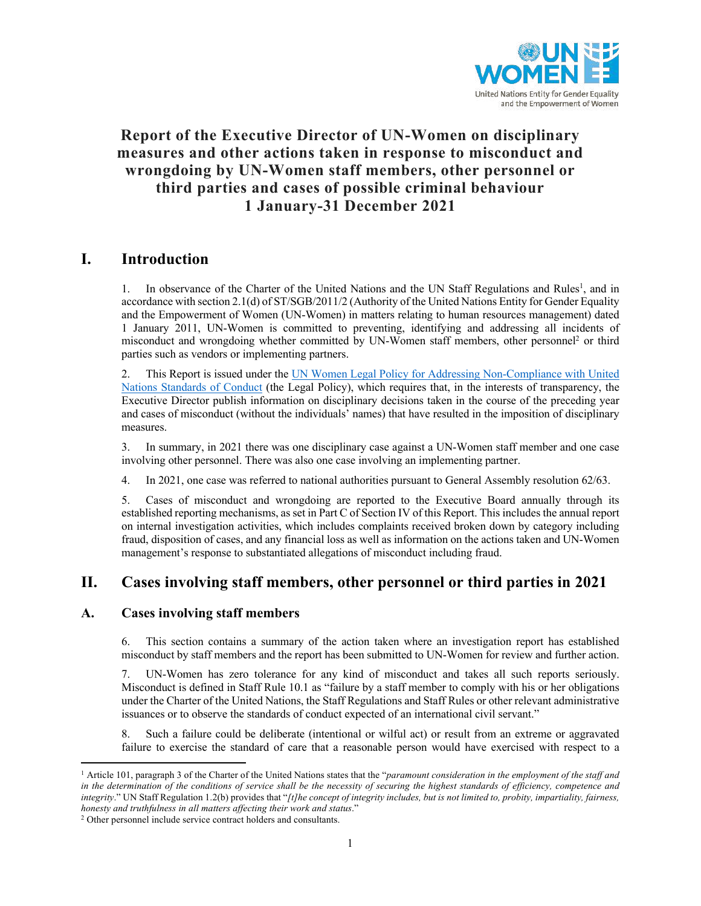

# **Report of the Executive Director of UN-Women on disciplinary measures and other actions taken in response to misconduct and wrongdoing by UN-Women staff members, other personnel or third parties and cases of possible criminal behaviour 1 January-31 December 2021**

# **I. Introduction**

1. In observance of the Charter of the United Nations and the UN Staff Regulations and Rules<sup>1</sup>, and in accordance with section 2.1(d) of ST/SGB/2011/2 (Authority of the United Nations Entity for Gender Equality and the Empowerment of Women (UN-Women) in matters relating to human resources management) dated 1 January 2011, UN-Women is committed to preventing, identifying and addressing all incidents of misconduct and wrongdoing whether committed by UN-Women staff members, other personnel<sup>2</sup> or third parties such as vendors or implementing partners.

2. This Report is issued under the UN Women Legal Policy for Addressing Non-Compliance with United Nations Standards of Conduct (the Legal Policy), which requires that, in the interests of transparency, the Executive Director publish information on disciplinary decisions taken in the course of the preceding year and cases of misconduct (without the individuals' names) that have resulted in the imposition of disciplinary measures.

3. In summary, in 2021 there was one disciplinary case against a UN-Women staff member and one case involving other personnel. There was also one case involving an implementing partner.

4. In 2021, one case was referred to national authorities pursuant to General Assembly resolution 62/63.

5. Cases of misconduct and wrongdoing are reported to the Executive Board annually through its established reporting mechanisms, as set in Part C of Section IV of this Report. This includes the annual report on internal investigation activities, which includes complaints received broken down by category including fraud, disposition of cases, and any financial loss as well as information on the actions taken and UN-Women management's response to substantiated allegations of misconduct including fraud.

# **II. Cases involving staff members, other personnel or third parties in 2021**

## **A. Cases involving staff members**

6. This section contains a summary of the action taken where an investigation report has established misconduct by staff members and the report has been submitted to UN-Women for review and further action.

7. UN-Women has zero tolerance for any kind of misconduct and takes all such reports seriously. Misconduct is defined in Staff Rule 10.1 as "failure by a staff member to comply with his or her obligations under the Charter of the United Nations, the Staff Regulations and Staff Rules or other relevant administrative issuances or to observe the standards of conduct expected of an international civil servant."

8. Such a failure could be deliberate (intentional or wilful act) or result from an extreme or aggravated failure to exercise the standard of care that a reasonable person would have exercised with respect to a

<sup>1</sup> Article 101, paragraph 3 of the Charter of the United Nations states that the "*paramount consideration in the employment of the staff and in the determination of the conditions of service shall be the necessity of securing the highest standards of efficiency, competence and integrity*." UN Staff Regulation 1.2(b) provides that "*[t]he concept of integrity includes, but is not limited to, probity, impartiality, fairness, honesty and truthfulness in all matters affecting their work and status*."

<sup>2</sup> Other personnel include service contract holders and consultants.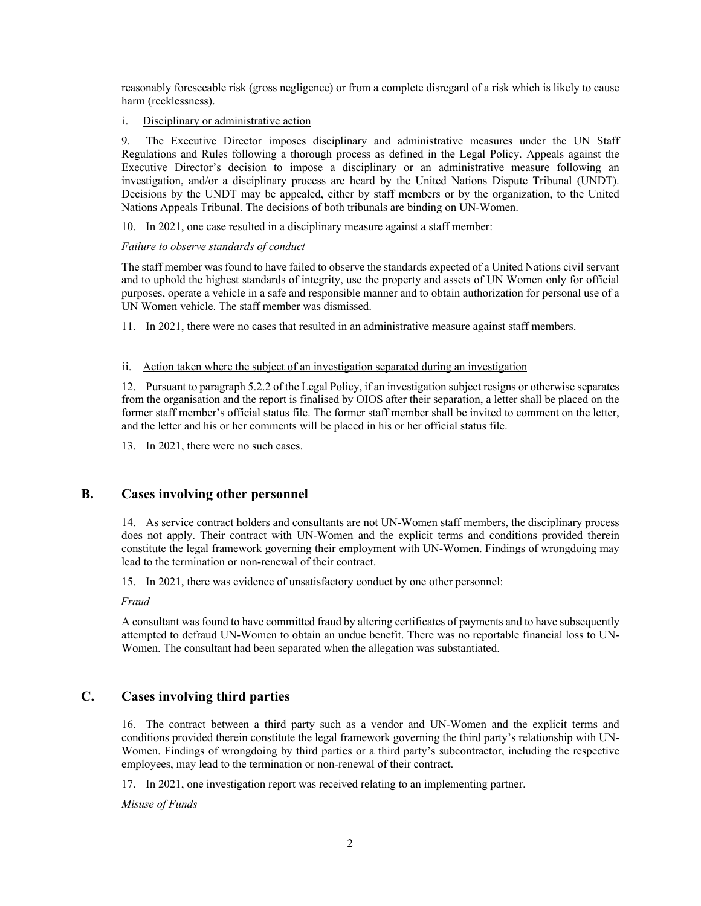reasonably foreseeable risk (gross negligence) or from a complete disregard of a risk which is likely to cause harm (recklessness).

i. Disciplinary or administrative action

9. The Executive Director imposes disciplinary and administrative measures under the UN Staff Regulations and Rules following a thorough process as defined in the Legal Policy. Appeals against the Executive Director's decision to impose a disciplinary or an administrative measure following an investigation, and/or a disciplinary process are heard by the United Nations Dispute Tribunal (UNDT). Decisions by the UNDT may be appealed, either by staff members or by the organization, to the United Nations Appeals Tribunal. The decisions of both tribunals are binding on UN-Women.

10. In 2021, one case resulted in a disciplinary measure against a staff member:

#### *Failure to observe standards of conduct*

The staff member was found to have failed to observe the standards expected of a United Nations civil servant and to uphold the highest standards of integrity, use the property and assets of UN Women only for official purposes, operate a vehicle in a safe and responsible manner and to obtain authorization for personal use of a UN Women vehicle. The staff member was dismissed.

11. In 2021, there were no cases that resulted in an administrative measure against staff members.

### ii. Action taken where the subject of an investigation separated during an investigation

12. Pursuant to paragraph 5.2.2 of the Legal Policy, if an investigation subject resigns or otherwise separates from the organisation and the report is finalised by OIOS after their separation, a letter shall be placed on the former staff member's official status file. The former staff member shall be invited to comment on the letter, and the letter and his or her comments will be placed in his or her official status file.

13. In 2021, there were no such cases.

## **B. Cases involving other personnel**

14. As service contract holders and consultants are not UN-Women staff members, the disciplinary process does not apply. Their contract with UN-Women and the explicit terms and conditions provided therein constitute the legal framework governing their employment with UN-Women. Findings of wrongdoing may lead to the termination or non-renewal of their contract.

15. In 2021, there was evidence of unsatisfactory conduct by one other personnel:

*Fraud*

A consultant was found to have committed fraud by altering certificates of payments and to have subsequently attempted to defraud UN-Women to obtain an undue benefit. There was no reportable financial loss to UN-Women. The consultant had been separated when the allegation was substantiated.

## **C. Cases involving third parties**

16. The contract between a third party such as a vendor and UN-Women and the explicit terms and conditions provided therein constitute the legal framework governing the third party's relationship with UN-Women. Findings of wrongdoing by third parties or a third party's subcontractor, including the respective employees, may lead to the termination or non-renewal of their contract.

17. In 2021, one investigation report was received relating to an implementing partner.

*Misuse of Funds*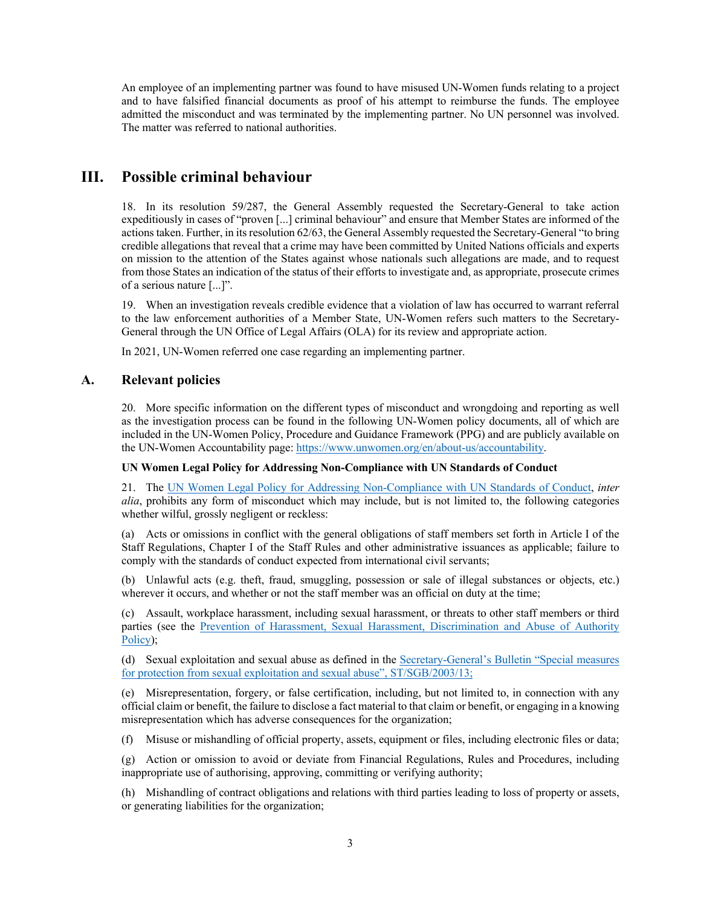An employee of an implementing partner was found to have misused UN-Women funds relating to a project and to have falsified financial documents as proof of his attempt to reimburse the funds. The employee admitted the misconduct and was terminated by the implementing partner. No UN personnel was involved. The matter was referred to national authorities.

# **III. Possible criminal behaviour**

18. In its resolution 59/287, the General Assembly requested the Secretary-General to take action expeditiously in cases of "proven [...] criminal behaviour" and ensure that Member States are informed of the actions taken. Further, in its resolution 62/63, the General Assembly requested the Secretary-General "to bring credible allegations that reveal that a crime may have been committed by United Nations officials and experts on mission to the attention of the States against whose nationals such allegations are made, and to request from those States an indication of the status of their efforts to investigate and, as appropriate, prosecute crimes of a serious nature [...]".

19. When an investigation reveals credible evidence that a violation of law has occurred to warrant referral to the law enforcement authorities of a Member State, UN-Women refers such matters to the Secretary-General through the UN Office of Legal Affairs (OLA) for its review and appropriate action.

In 2021, UN-Women referred one case regarding an implementing partner.

## **A. Relevant policies**

20. More specific information on the different types of misconduct and wrongdoing and reporting as well as the investigation process can be found in the following UN-Women policy documents, all of which are included in the UN-Women Policy, Procedure and Guidance Framework (PPG) and are publicly available on the UN-Women Accountability page: https://www.unwomen.org/en/about-us/accountability.

### **UN Women Legal Policy for Addressing Non-Compliance with UN Standards of Conduct**

21. The UN Women Legal Policy for Addressing Non-Compliance with UN Standards of Conduct, *inter alia*, prohibits any form of misconduct which may include, but is not limited to, the following categories whether wilful, grossly negligent or reckless:

(a) Acts or omissions in conflict with the general obligations of staff members set forth in Article I of the Staff Regulations, Chapter I of the Staff Rules and other administrative issuances as applicable; failure to comply with the standards of conduct expected from international civil servants;

(b) Unlawful acts (e.g. theft, fraud, smuggling, possession or sale of illegal substances or objects, etc.) wherever it occurs, and whether or not the staff member was an official on duty at the time;

(c) Assault, workplace harassment, including sexual harassment, or threats to other staff members or third parties (see the Prevention of Harassment, Sexual Harassment, Discrimination and Abuse of Authority Policy);

(d) Sexual exploitation and sexual abuse as defined in the Secretary-General's Bulletin "Special measures for protection from sexual exploitation and sexual abuse", ST/SGB/2003/13;

(e) Misrepresentation, forgery, or false certification, including, but not limited to, in connection with any official claim or benefit, the failure to disclose a fact material to that claim or benefit, or engaging in a knowing misrepresentation which has adverse consequences for the organization;

(f) Misuse or mishandling of official property, assets, equipment or files, including electronic files or data;

(g) Action or omission to avoid or deviate from Financial Regulations, Rules and Procedures, including inappropriate use of authorising, approving, committing or verifying authority;

(h) Mishandling of contract obligations and relations with third parties leading to loss of property or assets, or generating liabilities for the organization;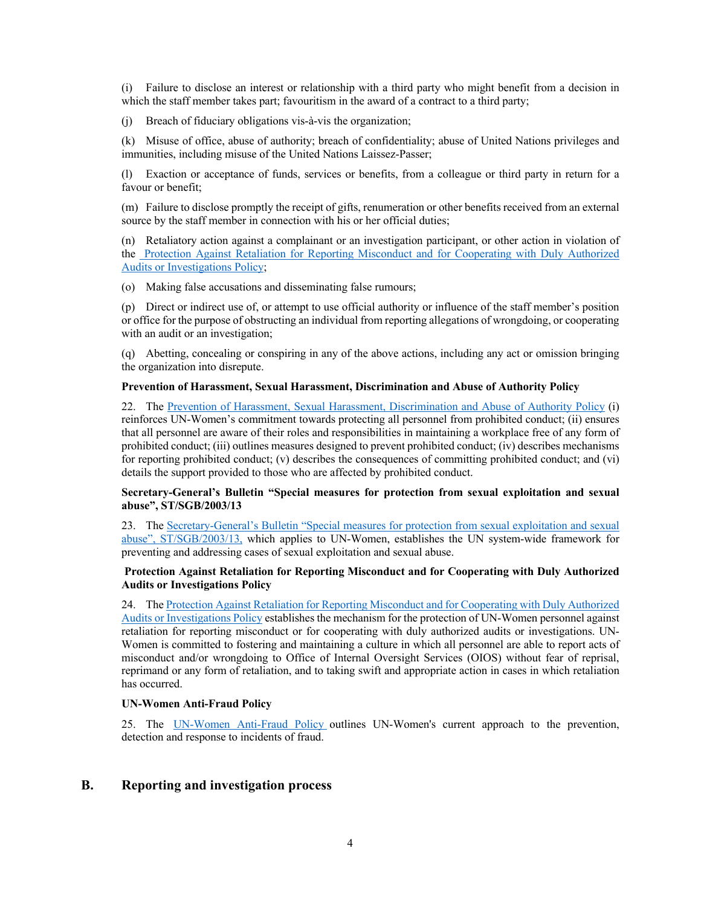(i) Failure to disclose an interest or relationship with a third party who might benefit from a decision in which the staff member takes part; favouritism in the award of a contract to a third party;

(j) Breach of fiduciary obligations vis-à-vis the organization;

(k) Misuse of office, abuse of authority; breach of confidentiality; abuse of United Nations privileges and immunities, including misuse of the United Nations Laissez-Passer;

(l) Exaction or acceptance of funds, services or benefits, from a colleague or third party in return for a favour or benefit;

(m) Failure to disclose promptly the receipt of gifts, renumeration or other benefits received from an external source by the staff member in connection with his or her official duties;

(n) Retaliatory action against a complainant or an investigation participant, or other action in violation of the Protection Against Retaliation for Reporting Misconduct and for Cooperating with Duly Authorized Audits or Investigations Policy;

(o) Making false accusations and disseminating false rumours;

(p) Direct or indirect use of, or attempt to use official authority or influence of the staff member's position or office for the purpose of obstructing an individual from reporting allegations of wrongdoing, or cooperating with an audit or an investigation;

(q) Abetting, concealing or conspiring in any of the above actions, including any act or omission bringing the organization into disrepute.

#### **Prevention of Harassment, Sexual Harassment, Discrimination and Abuse of Authority Policy**

22. The Prevention of Harassment, Sexual Harassment, Discrimination and Abuse of Authority Policy (i) reinforces UN-Women's commitment towards protecting all personnel from prohibited conduct; (ii) ensures that all personnel are aware of their roles and responsibilities in maintaining a workplace free of any form of prohibited conduct; (iii) outlines measures designed to prevent prohibited conduct; (iv) describes mechanisms for reporting prohibited conduct; (v) describes the consequences of committing prohibited conduct; and (vi) details the support provided to those who are affected by prohibited conduct.

#### **Secretary-General's Bulletin "Special measures for protection from sexual exploitation and sexual abuse", ST/SGB/2003/13**

23. The Secretary-General's Bulletin "Special measures for protection from sexual exploitation and sexual abuse", ST/SGB/2003/13, which applies to UN-Women, establishes the UN system-wide framework for preventing and addressing cases of sexual exploitation and sexual abuse.

#### **Protection Against Retaliation for Reporting Misconduct and for Cooperating with Duly Authorized Audits or Investigations Policy**

24. The Protection Against Retaliation for Reporting Misconduct and for Cooperating with Duly Authorized Audits or Investigations Policy establishes the mechanism for the protection of UN-Women personnel against retaliation for reporting misconduct or for cooperating with duly authorized audits or investigations. UN-Women is committed to fostering and maintaining a culture in which all personnel are able to report acts of misconduct and/or wrongdoing to Office of Internal Oversight Services (OIOS) without fear of reprisal, reprimand or any form of retaliation, and to taking swift and appropriate action in cases in which retaliation has occurred.

### **UN-Women Anti-Fraud Policy**

25. The UN-Women Anti-Fraud Policy outlines UN-Women's current approach to the prevention, detection and response to incidents of fraud.

## **B. Reporting and investigation process**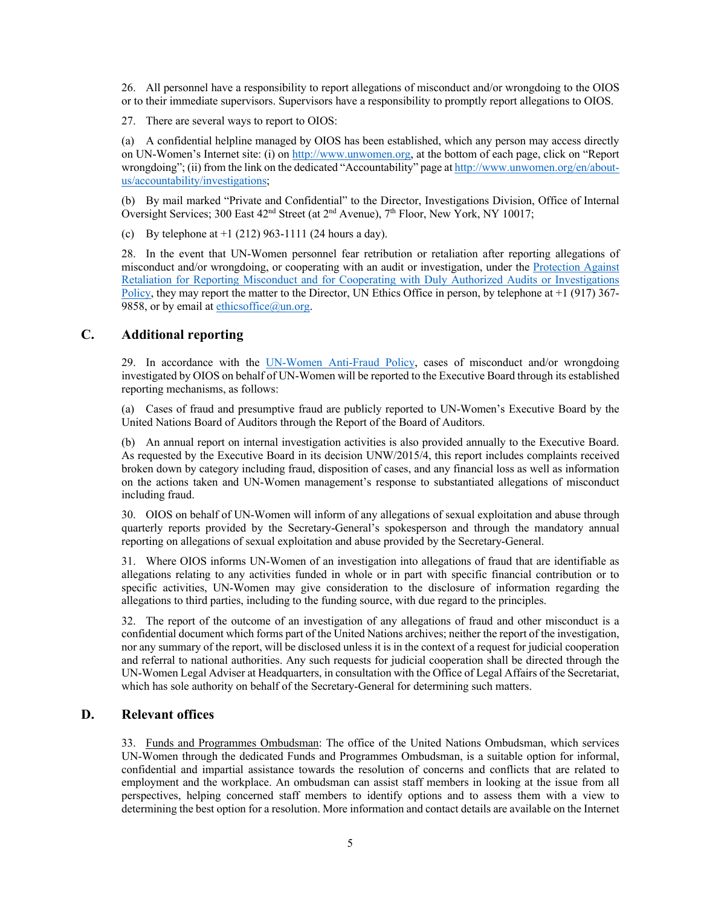26. All personnel have a responsibility to report allegations of misconduct and/or wrongdoing to the OIOS or to their immediate supervisors. Supervisors have a responsibility to promptly report allegations to OIOS.

27. There are several ways to report to OIOS:

(a) A confidential helpline managed by OIOS has been established, which any person may access directly on UN-Women's Internet site: (i) on http://www.unwomen.org, at the bottom of each page, click on "Report wrongdoing"; (ii) from the link on the dedicated "Accountability" page at http://www.unwomen.org/en/aboutus/accountability/investigations;

(b) By mail marked "Private and Confidential" to the Director, Investigations Division, Office of Internal Oversight Services; 300 East  $42<sup>nd</sup>$  Street (at  $2<sup>nd</sup>$  Avenue), 7<sup>th</sup> Floor, New York, NY 10017;

(c) By telephone at  $+1$  (212) 963-1111 (24 hours a day).

28. In the event that UN-Women personnel fear retribution or retaliation after reporting allegations of misconduct and/or wrongdoing, or cooperating with an audit or investigation, under the Protection Against Retaliation for Reporting Misconduct and for Cooperating with Duly Authorized Audits or Investigations Policy, they may report the matter to the Director, UN Ethics Office in person, by telephone at +1 (917) 367- 9858, or by email at ethicsoffice $@$ un.org.

## **C. Additional reporting**

29. In accordance with the UN-Women Anti-Fraud Policy, cases of misconduct and/or wrongdoing investigated by OIOS on behalf of UN-Women will be reported to the Executive Board through its established reporting mechanisms, as follows:

(a) Cases of fraud and presumptive fraud are publicly reported to UN-Women's Executive Board by the United Nations Board of Auditors through the Report of the Board of Auditors.

(b) An annual report on internal investigation activities is also provided annually to the Executive Board. As requested by the Executive Board in its decision UNW/2015/4, this report includes complaints received broken down by category including fraud, disposition of cases, and any financial loss as well as information on the actions taken and UN-Women management's response to substantiated allegations of misconduct including fraud.

30. OIOS on behalf of UN-Women will inform of any allegations of sexual exploitation and abuse through quarterly reports provided by the Secretary-General's spokesperson and through the mandatory annual reporting on allegations of sexual exploitation and abuse provided by the Secretary-General.

31. Where OIOS informs UN-Women of an investigation into allegations of fraud that are identifiable as allegations relating to any activities funded in whole or in part with specific financial contribution or to specific activities, UN-Women may give consideration to the disclosure of information regarding the allegations to third parties, including to the funding source, with due regard to the principles.

32. The report of the outcome of an investigation of any allegations of fraud and other misconduct is a confidential document which forms part of the United Nations archives; neither the report of the investigation, nor any summary of the report, will be disclosed unless it is in the context of a request for judicial cooperation and referral to national authorities. Any such requests for judicial cooperation shall be directed through the UN-Women Legal Adviser at Headquarters, in consultation with the Office of Legal Affairs of the Secretariat, which has sole authority on behalf of the Secretary-General for determining such matters.

## **D. Relevant offices**

33. Funds and Programmes Ombudsman: The office of the United Nations Ombudsman, which services UN-Women through the dedicated Funds and Programmes Ombudsman, is a suitable option for informal, confidential and impartial assistance towards the resolution of concerns and conflicts that are related to employment and the workplace. An ombudsman can assist staff members in looking at the issue from all perspectives, helping concerned staff members to identify options and to assess them with a view to determining the best option for a resolution. More information and contact details are available on the Internet